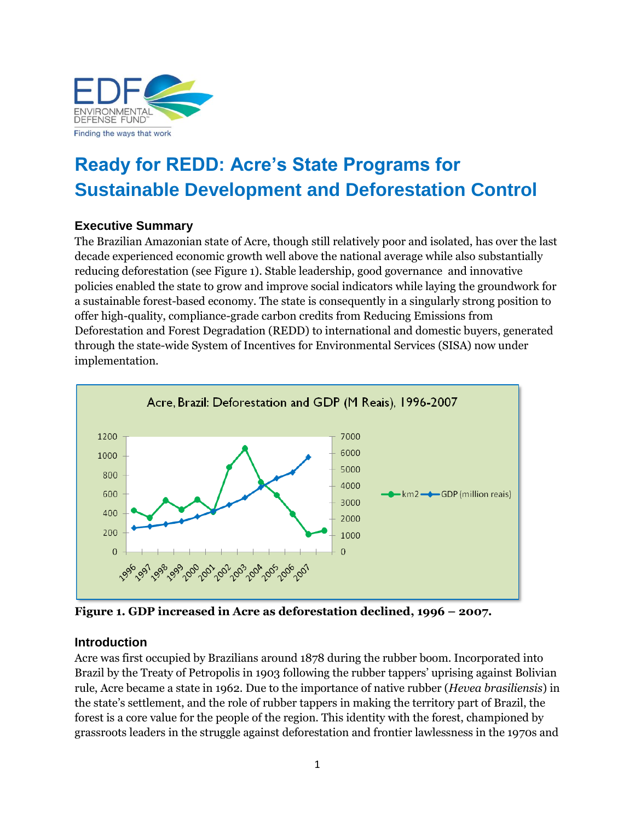

# **Ready for REDD: Acre's State Programs for Sustainable Development and Deforestation Control**

### **Executive Summary**

The Brazilian Amazonian state of Acre, though still relatively poor and isolated, has over the last decade experienced economic growth well above the national average while also substantially reducing deforestation (see Figure 1). Stable leadership, good governance and innovative policies enabled the state to grow and improve social indicators while laying the groundwork for a sustainable forest-based economy. The state is consequently in a singularly strong position to offer high-quality, compliance-grade carbon credits from Reducing Emissions from Deforestation and Forest Degradation (REDD) to international and domestic buyers, generated through the state-wide System of Incentives for Environmental Services (SISA) now under implementation.



**Figure 1. GDP increased in Acre as deforestation declined, 1996 – 2007.**

#### **Introduction**

Acre was first occupied by Brazilians around 1878 during the rubber boom. Incorporated into Brazil by the Treaty of Petropolis in 1903 following the rubber tappers' uprising against Bolivian rule, Acre became a state in 1962. Due to the importance of native rubber (*Hevea brasiliensis*) in the state's settlement, and the role of rubber tappers in making the territory part of Brazil, the forest is a core value for the people of the region. This identity with the forest, championed by grassroots leaders in the struggle against deforestation and frontier lawlessness in the 1970s and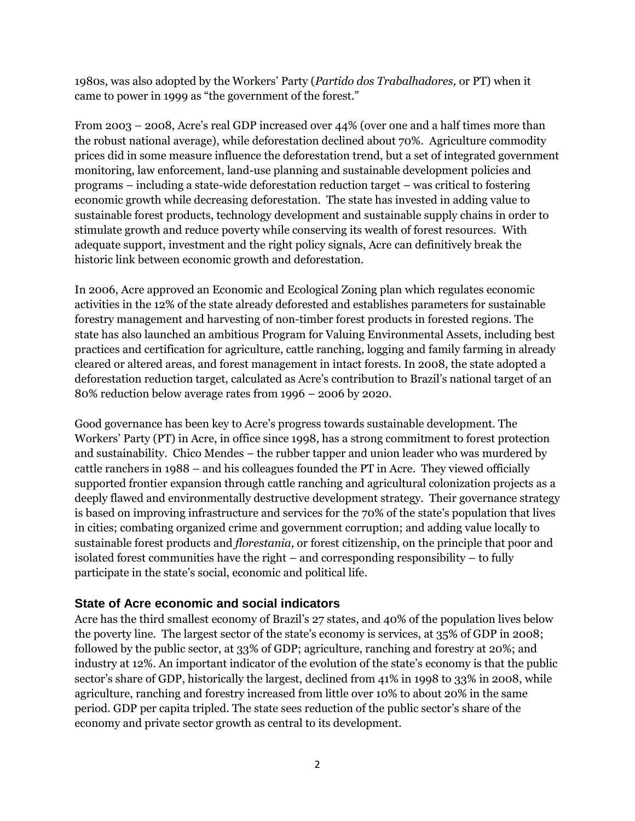1980s, was also adopted by the Workers' Party (*Partido dos Trabalhadores,* or PT) when it came to power in 1999 as "the government of the forest."

From 2003 – 2008, Acre's real GDP increased over 44% (over one and a half times more than the robust national average), while deforestation declined about 70%. Agriculture commodity prices did in some measure influence the deforestation trend, but a set of integrated government monitoring, law enforcement, land-use planning and sustainable development policies and programs – including a state-wide deforestation reduction target – was critical to fostering economic growth while decreasing deforestation. The state has invested in adding value to sustainable forest products, technology development and sustainable supply chains in order to stimulate growth and reduce poverty while conserving its wealth of forest resources. With adequate support, investment and the right policy signals, Acre can definitively break the historic link between economic growth and deforestation.

In 2006, Acre approved an Economic and Ecological Zoning plan which regulates economic activities in the 12% of the state already deforested and establishes parameters for sustainable forestry management and harvesting of non-timber forest products in forested regions. The state has also launched an ambitious Program for Valuing Environmental Assets, including best practices and certification for agriculture, cattle ranching, logging and family farming in already cleared or altered areas, and forest management in intact forests. In 2008, the state adopted a deforestation reduction target, calculated as Acre's contribution to Brazil's national target of an 80% reduction below average rates from 1996 – 2006 by 2020.

Good governance has been key to Acre's progress towards sustainable development. The Workers' Party (PT) in Acre, in office since 1998, has a strong commitment to forest protection and sustainability. Chico Mendes – the rubber tapper and union leader who was murdered by cattle ranchers in 1988 – and his colleagues founded the PT in Acre. They viewed officially supported frontier expansion through cattle ranching and agricultural colonization projects as a deeply flawed and environmentally destructive development strategy. Their governance strategy is based on improving infrastructure and services for the 70% of the state's population that lives in cities; combating organized crime and government corruption; and adding value locally to sustainable forest products and *florestania*, or forest citizenship, on the principle that poor and isolated forest communities have the right – and corresponding responsibility – to fully participate in the state's social, economic and political life.

#### **State of Acre economic and social indicators**

Acre has the third smallest economy of Brazil's 27 states, and 40% of the population lives below the poverty line. The largest sector of the state's economy is services, at 35% of GDP in 2008; followed by the public sector, at 33% of GDP; agriculture, ranching and forestry at 20%; and industry at 12%. An important indicator of the evolution of the state's economy is that the public sector's share of GDP, historically the largest, declined from 41% in 1998 to 33% in 2008, while agriculture, ranching and forestry increased from little over 10% to about 20% in the same period. GDP per capita tripled. The state sees reduction of the public sector's share of the economy and private sector growth as central to its development.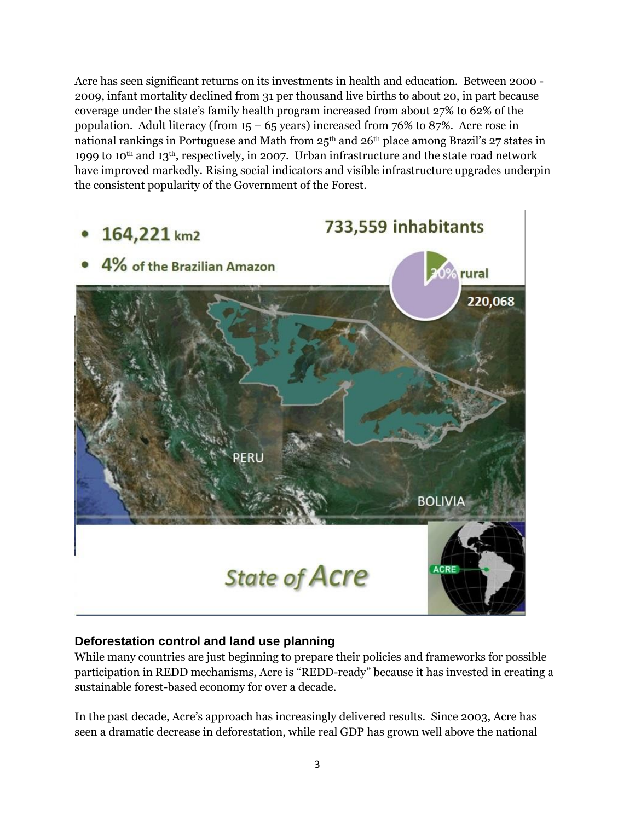Acre has seen significant returns on its investments in health and education. Between 2000 - 2009, infant mortality declined from 31 per thousand live births to about 20, in part because coverage under the state's family health program increased from about 27% to 62% of the population. Adult literacy (from  $15 - 65$  years) increased from 76% to 87%. Acre rose in national rankings in Portuguese and Math from 25<sup>th</sup> and 26<sup>th</sup> place among Brazil's 27 states in 1999 to 10<sup>th</sup> and 13<sup>th</sup>, respectively, in 2007. Urban infrastructure and the state road network have improved markedly. Rising social indicators and visible infrastructure upgrades underpin the consistent popularity of the Government of the Forest.



# **Deforestation control and land use planning**

While many countries are just beginning to prepare their policies and frameworks for possible participation in REDD mechanisms, Acre is "REDD-ready" because it has invested in creating a sustainable forest-based economy for over a decade.

In the past decade, Acre's approach has increasingly delivered results. Since 2003, Acre has seen a dramatic decrease in deforestation, while real GDP has grown well above the national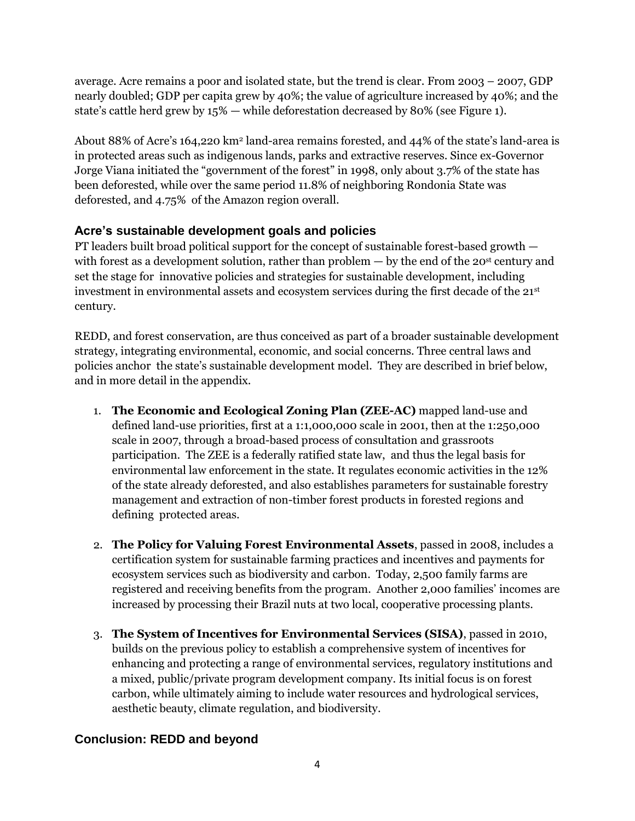average. Acre remains a poor and isolated state, but the trend is clear. From 2003 – 2007, GDP nearly doubled; GDP per capita grew by 40%; the value of agriculture increased by 40%; and the state's cattle herd grew by 15% — while deforestation decreased by 80% (see Figure 1).

About 88% of Acre's 164,220 km<sup>2</sup> land-area remains forested, and 44% of the state's land-area is in protected areas such as indigenous lands, parks and extractive reserves. Since ex-Governor Jorge Viana initiated the "government of the forest" in 1998, only about 3.7% of the state has been deforested, while over the same period 11.8% of neighboring Rondonia State was deforested, and 4.75% of the Amazon region overall.

# **Acre's sustainable development goals and policies**

PT leaders built broad political support for the concept of sustainable forest-based growth with forest as a development solution, rather than problem  $-$  by the end of the 20<sup>st</sup> century and set the stage for innovative policies and strategies for sustainable development, including investment in environmental assets and ecosystem services during the first decade of the 21st century.

REDD, and forest conservation, are thus conceived as part of a broader sustainable development strategy, integrating environmental, economic, and social concerns. Three central laws and policies anchor the state's sustainable development model. They are described in brief below, and in more detail in the appendix.

- 1. **The Economic and Ecological Zoning Plan (ZEE-AC)** mapped land-use and defined land-use priorities, first at a 1:1,000,000 scale in 2001, then at the 1:250,000 scale in 2007, through a broad-based process of consultation and grassroots participation. The ZEE is a federally ratified state law, and thus the legal basis for environmental law enforcement in the state. It regulates economic activities in the 12% of the state already deforested, and also establishes parameters for sustainable forestry management and extraction of non-timber forest products in forested regions and defining protected areas.
- 2. **The Policy for Valuing Forest Environmental Assets**, passed in 2008, includes a certification system for sustainable farming practices and incentives and payments for ecosystem services such as biodiversity and carbon. Today, 2,500 family farms are registered and receiving benefits from the program. Another 2,000 families' incomes are increased by processing their Brazil nuts at two local, cooperative processing plants.
- 3. **The System of Incentives for Environmental Services (SISA)**, passed in 2010, builds on the previous policy to establish a comprehensive system of incentives for enhancing and protecting a range of environmental services, regulatory institutions and a mixed, public/private program development company. Its initial focus is on forest carbon, while ultimately aiming to include water resources and hydrological services, aesthetic beauty, climate regulation, and biodiversity.

# **Conclusion: REDD and beyond**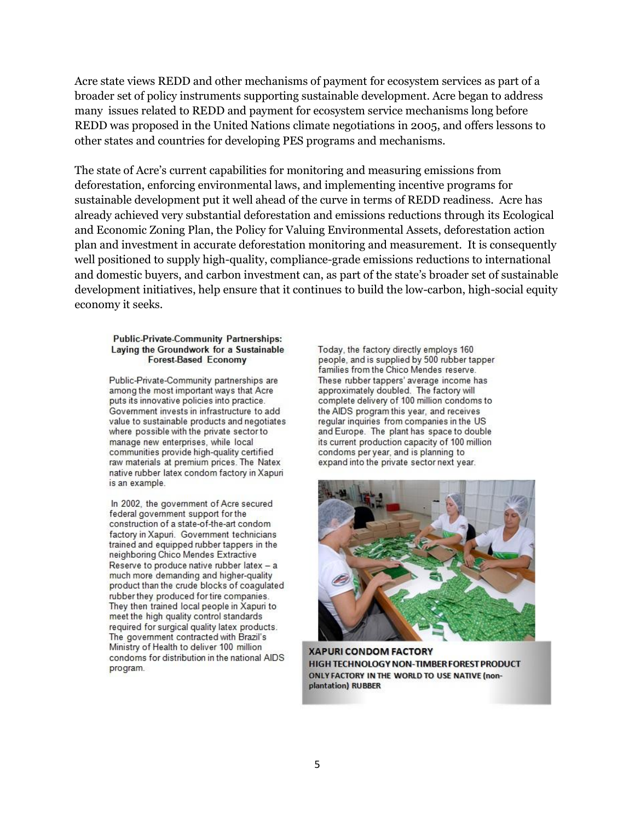Acre state views REDD and other mechanisms of payment for ecosystem services as part of a broader set of policy instruments supporting sustainable development. Acre began to address many issues related to REDD and payment for ecosystem service mechanisms long before REDD was proposed in the United Nations climate negotiations in 2005, and offers lessons to other states and countries for developing PES programs and mechanisms.

The state of Acre's current capabilities for monitoring and measuring emissions from deforestation, enforcing environmental laws, and implementing incentive programs for sustainable development put it well ahead of the curve in terms of REDD readiness. Acre has already achieved very substantial deforestation and emissions reductions through its Ecological and Economic Zoning Plan, the Policy for Valuing Environmental Assets, deforestation action plan and investment in accurate deforestation monitoring and measurement. It is consequently well positioned to supply high-quality, compliance-grade emissions reductions to international and domestic buyers, and carbon investment can, as part of the state's broader set of sustainable development initiatives, help ensure that it continues to build the low-carbon, high-social equity economy it seeks.

#### **Public-Private-Community Partnerships:** Laying the Groundwork for a Sustainable **Forest-Based Economy**

Public-Private-Community partnerships are among the most important ways that Acre puts its innovative policies into practice. Government invests in infrastructure to add value to sustainable products and negotiates where possible with the private sector to manage new enterprises, while local communities provide high-quality certified raw materials at premium prices. The Natex native rubber latex condom factory in Xapuri is an example.

In 2002, the government of Acre secured federal government support for the construction of a state-of-the-art condom factory in Xapuri. Government technicians trained and equipped rubber tappers in the neighboring Chico Mendes Extractive Reserve to produce native rubber latex - a much more demanding and higher-quality product than the crude blocks of coagulated rubber they produced for tire companies. They then trained local people in Xapuri to meet the high quality control standards required for surgical quality latex products. The government contracted with Brazil's Ministry of Health to deliver 100 million condoms for distribution in the national AIDS program.

Today, the factory directly employs 160 people, and is supplied by 500 rubber tapper families from the Chico Mendes reserve. These rubber tappers' average income has approximately doubled. The factory will complete delivery of 100 million condoms to the AIDS program this year, and receives regular inquiries from companies in the US and Europe. The plant has space to double its current production capacity of 100 million condoms per year, and is planning to expand into the private sector next year.



**XAPURI CONDOM FACTORY** HIGH TECHNOLOGY NON-TIMBER FOREST PRODUCT ONLY FACTORY IN THE WORLD TO USE NATIVE (nonplantation) RUBBER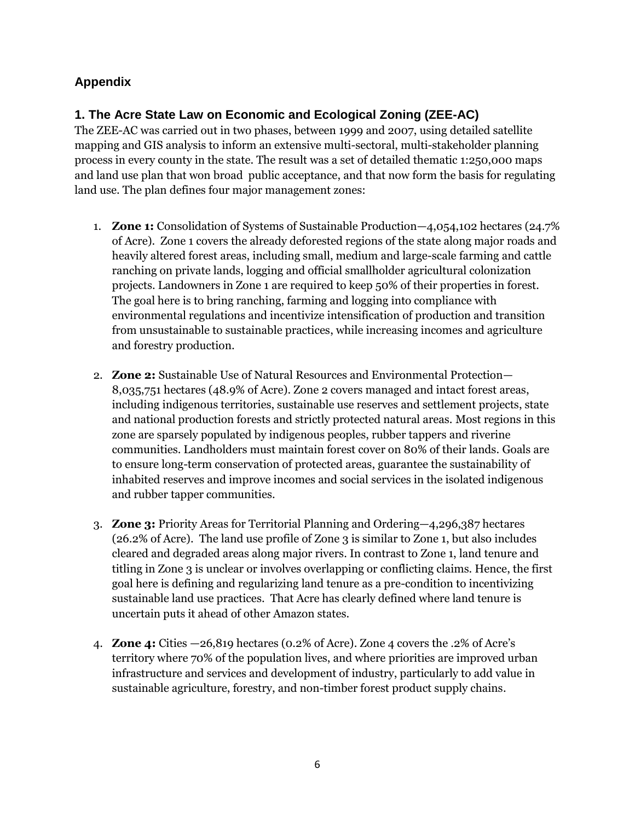# **Appendix**

# **1. The Acre State Law on Economic and Ecological Zoning (ZEE-AC)**

The ZEE-AC was carried out in two phases, between 1999 and 2007, using detailed satellite mapping and GIS analysis to inform an extensive multi-sectoral, multi-stakeholder planning process in every county in the state. The result was a set of detailed thematic 1:250,000 maps and land use plan that won broad public acceptance, and that now form the basis for regulating land use. The plan defines four major management zones:

- 1. **Zone 1:** Consolidation of Systems of Sustainable Production—4,054,102 hectares (24.7% of Acre). Zone 1 covers the already deforested regions of the state along major roads and heavily altered forest areas, including small, medium and large-scale farming and cattle ranching on private lands, logging and official smallholder agricultural colonization projects. Landowners in Zone 1 are required to keep 50% of their properties in forest. The goal here is to bring ranching, farming and logging into compliance with environmental regulations and incentivize intensification of production and transition from unsustainable to sustainable practices, while increasing incomes and agriculture and forestry production.
- 2. **Zone 2:** Sustainable Use of Natural Resources and Environmental Protection— 8,035,751 hectares (48.9% of Acre). Zone 2 covers managed and intact forest areas, including indigenous territories, sustainable use reserves and settlement projects, state and national production forests and strictly protected natural areas. Most regions in this zone are sparsely populated by indigenous peoples, rubber tappers and riverine communities. Landholders must maintain forest cover on 80% of their lands. Goals are to ensure long-term conservation of protected areas, guarantee the sustainability of inhabited reserves and improve incomes and social services in the isolated indigenous and rubber tapper communities.
- 3. **Zone 3:** Priority Areas for Territorial Planning and Ordering—4,296,387 hectares (26.2% of Acre). The land use profile of Zone 3 is similar to Zone 1, but also includes cleared and degraded areas along major rivers. In contrast to Zone 1, land tenure and titling in Zone 3 is unclear or involves overlapping or conflicting claims. Hence, the first goal here is defining and regularizing land tenure as a pre-condition to incentivizing sustainable land use practices. That Acre has clearly defined where land tenure is uncertain puts it ahead of other Amazon states.
- 4. **Zone 4:** Cities —26,819 hectares (0.2% of Acre). Zone 4 covers the .2% of Acre's territory where 70% of the population lives, and where priorities are improved urban infrastructure and services and development of industry, particularly to add value in sustainable agriculture, forestry, and non-timber forest product supply chains.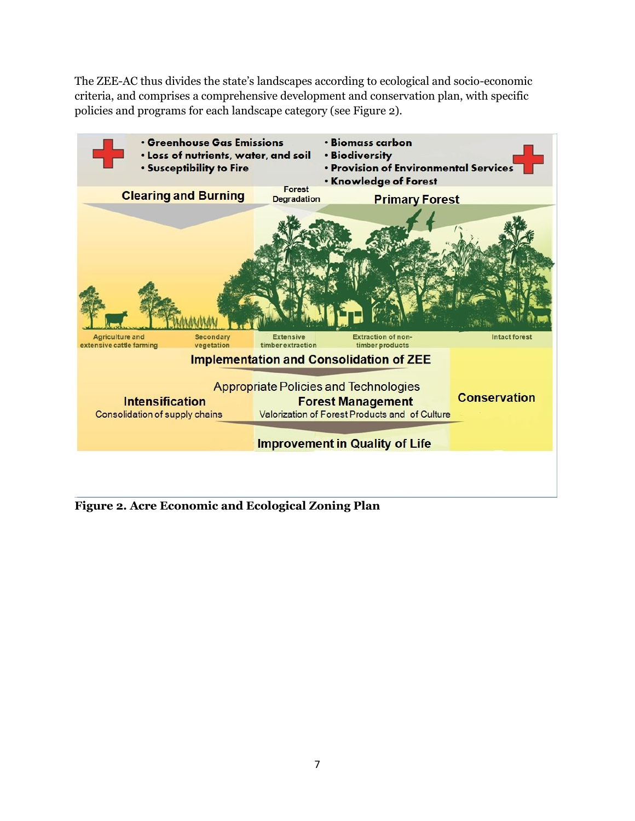The ZEE-AC thus divides the state's landscapes according to ecological and socio-economic criteria, and comprises a comprehensive development and conservation plan, with specific policies and programs for each landscape category (see Figure 2).



**Figure 2. Acre Economic and Ecological Zoning Plan**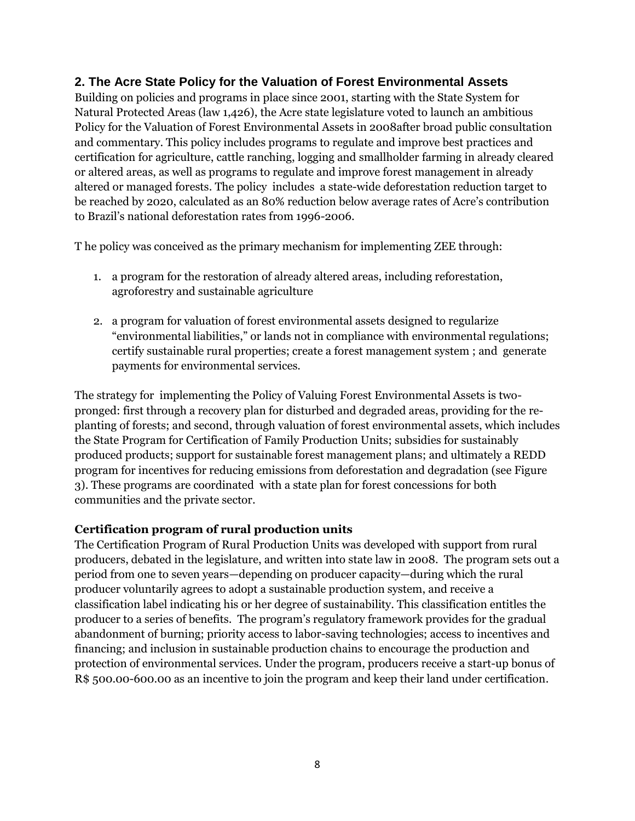#### **2. The Acre State Policy for the Valuation of Forest Environmental Assets**

Building on policies and programs in place since 2001, starting with the State System for Natural Protected Areas (law 1,426), the Acre state legislature voted to launch an ambitious Policy for the Valuation of Forest Environmental Assets in 2008after broad public consultation and commentary. This policy includes programs to regulate and improve best practices and certification for agriculture, cattle ranching, logging and smallholder farming in already cleared or altered areas, as well as programs to regulate and improve forest management in already altered or managed forests. The policy includes a state-wide deforestation reduction target to be reached by 2020, calculated as an 80% reduction below average rates of Acre's contribution to Brazil's national deforestation rates from 1996-2006.

T he policy was conceived as the primary mechanism for implementing ZEE through:

- 1. a program for the restoration of already altered areas, including reforestation, agroforestry and sustainable agriculture
- 2. a program for valuation of forest environmental assets designed to regularize ―environmental liabilities,‖ or lands not in compliance with environmental regulations; certify sustainable rural properties; create a forest management system ; and generate payments for environmental services.

The strategy for implementing the Policy of Valuing Forest Environmental Assets is twopronged: first through a recovery plan for disturbed and degraded areas, providing for the replanting of forests; and second, through valuation of forest environmental assets, which includes the State Program for Certification of Family Production Units; subsidies for sustainably produced products; support for sustainable forest management plans; and ultimately a REDD program for incentives for reducing emissions from deforestation and degradation (see Figure 3). These programs are coordinated with a state plan for forest concessions for both communities and the private sector.

#### **Certification program of rural production units**

The Certification Program of Rural Production Units was developed with support from rural producers, debated in the legislature, and written into state law in 2008. The program sets out a period from one to seven years—depending on producer capacity—during which the rural producer voluntarily agrees to adopt a sustainable production system, and receive a classification label indicating his or her degree of sustainability. This classification entitles the producer to a series of benefits. The program's regulatory framework provides for the gradual abandonment of burning; priority access to labor-saving technologies; access to incentives and financing; and inclusion in sustainable production chains to encourage the production and protection of environmental services. Under the program, producers receive a start-up bonus of R\$ 500.00-600.00 as an incentive to join the program and keep their land under certification.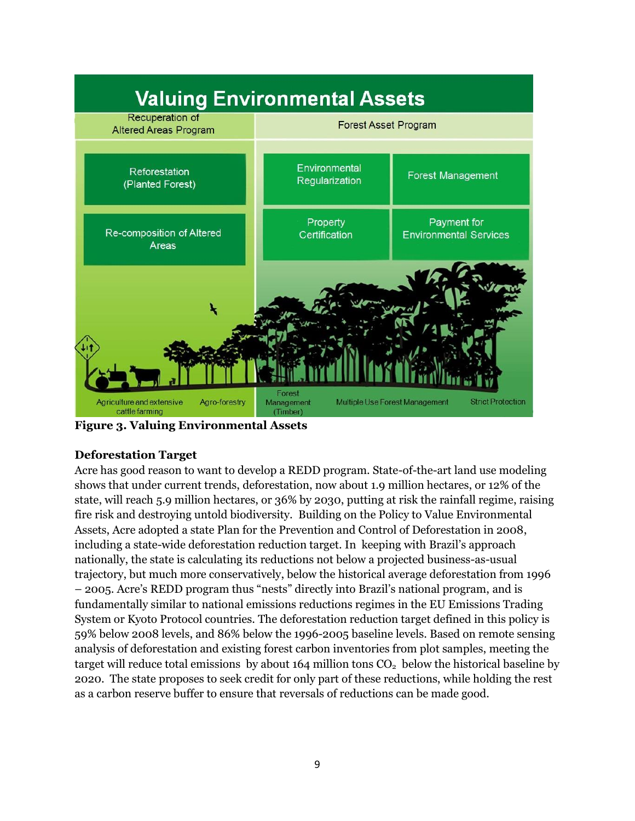

**Figure 3. Valuing Environmental Assets**

#### **Deforestation Target**

Acre has good reason to want to develop a REDD program. State-of-the-art land use modeling shows that under current trends, deforestation, now about 1.9 million hectares, or 12% of the state, will reach 5.9 million hectares, or 36% by 2030, putting at risk the rainfall regime, raising fire risk and destroying untold biodiversity. Building on the Policy to Value Environmental Assets, Acre adopted a state Plan for the Prevention and Control of Deforestation in 2008, including a state-wide deforestation reduction target. In keeping with Brazil's approach nationally, the state is calculating its reductions not below a projected business-as-usual trajectory, but much more conservatively, below the historical average deforestation from 1996 – 2005. Acre's REDD program thus "nests" directly into Brazil's national program, and is fundamentally similar to national emissions reductions regimes in the EU Emissions Trading System or Kyoto Protocol countries. The deforestation reduction target defined in this policy is 59% below 2008 levels, and 86% below the 1996-2005 baseline levels. Based on remote sensing analysis of deforestation and existing forest carbon inventories from plot samples, meeting the target will reduce total emissions by about 164 million tons  $CO<sub>2</sub>$  below the historical baseline by 2020. The state proposes to seek credit for only part of these reductions, while holding the rest as a carbon reserve buffer to ensure that reversals of reductions can be made good.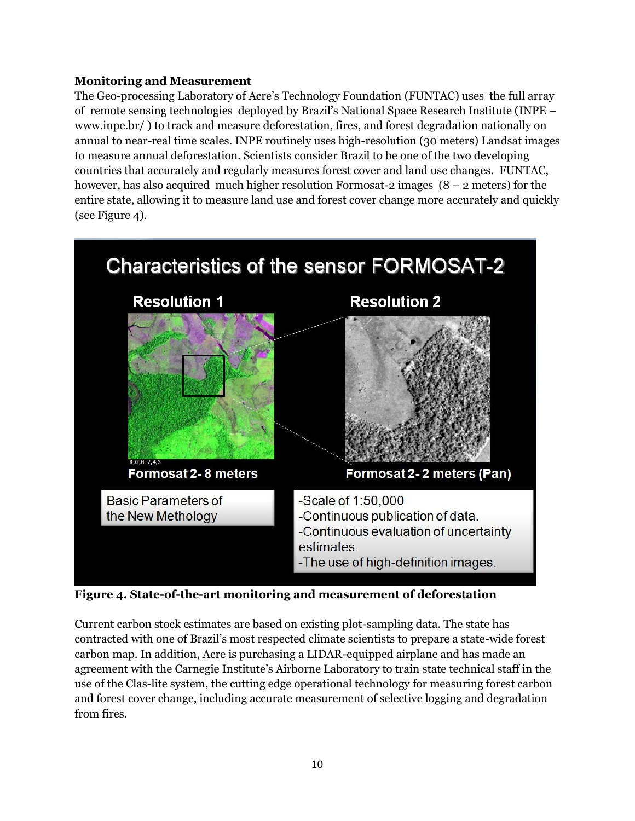### **Monitoring and Measurement**

The Geo-processing Laboratory of Acre's Technology Foundation (FUNTAC) uses the full array of remote sensing technologies deployed by Brazil's National Space Research Institute (INPE – [www.inpe.br/](http://www.inpe.br/) ) to track and measure deforestation, fires, and forest degradation nationally on annual to near-real time scales. INPE routinely uses high-resolution (30 meters) Landsat images to measure annual deforestation. Scientists consider Brazil to be one of the two developing countries that accurately and regularly measures forest cover and land use changes. FUNTAC, however, has also acquired much higher resolution Formosat-2 images (8 – 2 meters) for the entire state, allowing it to measure land use and forest cover change more accurately and quickly (see Figure 4).



**Figure 4. State-of-the-art monitoring and measurement of deforestation**

Current carbon stock estimates are based on existing plot-sampling data. The state has contracted with one of Brazil's most respected climate scientists to prepare a state-wide forest carbon map. In addition, Acre is purchasing a LIDAR-equipped airplane and has made an agreement with the Carnegie Institute's Airborne Laboratory to train state technical staff in the use of the Clas-lite system, the cutting edge operational technology for measuring forest carbon and forest cover change, including accurate measurement of selective logging and degradation from fires.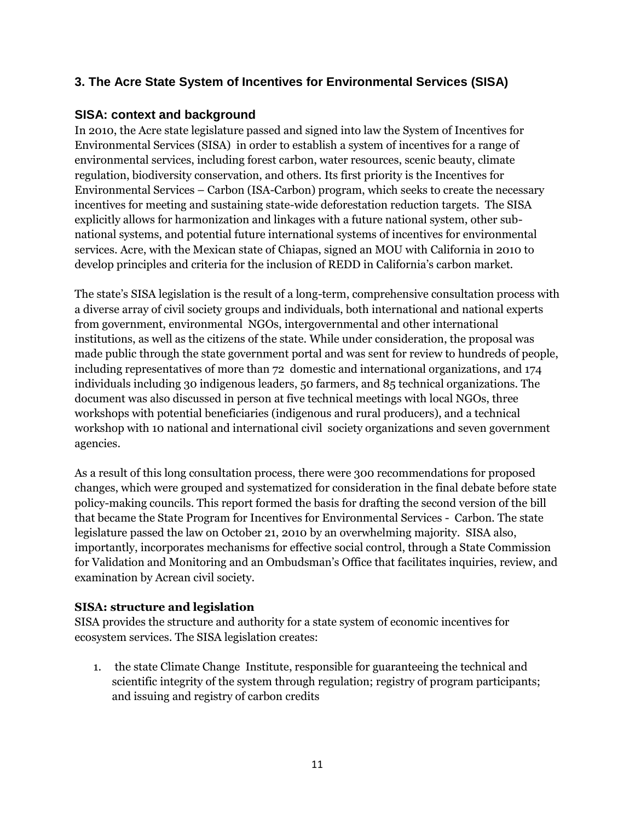# **3. The Acre State System of Incentives for Environmental Services (SISA)**

#### **SISA: context and background**

In 2010, the Acre state legislature passed and signed into law the System of Incentives for Environmental Services (SISA) in order to establish a system of incentives for a range of environmental services, including forest carbon, water resources, scenic beauty, climate regulation, biodiversity conservation, and others. Its first priority is the Incentives for Environmental Services – Carbon (ISA-Carbon) program, which seeks to create the necessary incentives for meeting and sustaining state-wide deforestation reduction targets. The SISA explicitly allows for harmonization and linkages with a future national system, other subnational systems, and potential future international systems of incentives for environmental services. Acre, with the Mexican state of Chiapas, signed an MOU with California in 2010 to develop principles and criteria for the inclusion of REDD in California's carbon market.

The state's SISA legislation is the result of a long-term, comprehensive consultation process with a diverse array of civil society groups and individuals, both international and national experts from government, environmental NGOs, intergovernmental and other international institutions, as well as the citizens of the state. While under consideration, the proposal was made public through the state government portal and was sent for review to hundreds of people, including representatives of more than 72 domestic and international organizations, and 174 individuals including 30 indigenous leaders, 50 farmers, and 85 technical organizations. The document was also discussed in person at five technical meetings with local NGOs, three workshops with potential beneficiaries (indigenous and rural producers), and a technical workshop with 10 national and international civil society organizations and seven government agencies.

As a result of this long consultation process, there were 300 recommendations for proposed changes, which were grouped and systematized for consideration in the final debate before state policy-making councils. This report formed the basis for drafting the second version of the bill that became the State Program for Incentives for Environmental Services - Carbon. The state legislature passed the law on October 21, 2010 by an overwhelming majority. SISA also, importantly, incorporates mechanisms for effective social control, through a State Commission for Validation and Monitoring and an Ombudsman's Office that facilitates inquiries, review, and examination by Acrean civil society.

#### **SISA: structure and legislation**

SISA provides the structure and authority for a state system of economic incentives for ecosystem services. The SISA legislation creates:

1. the state Climate Change Institute, responsible for guaranteeing the technical and scientific integrity of the system through regulation; registry of program participants; and issuing and registry of carbon credits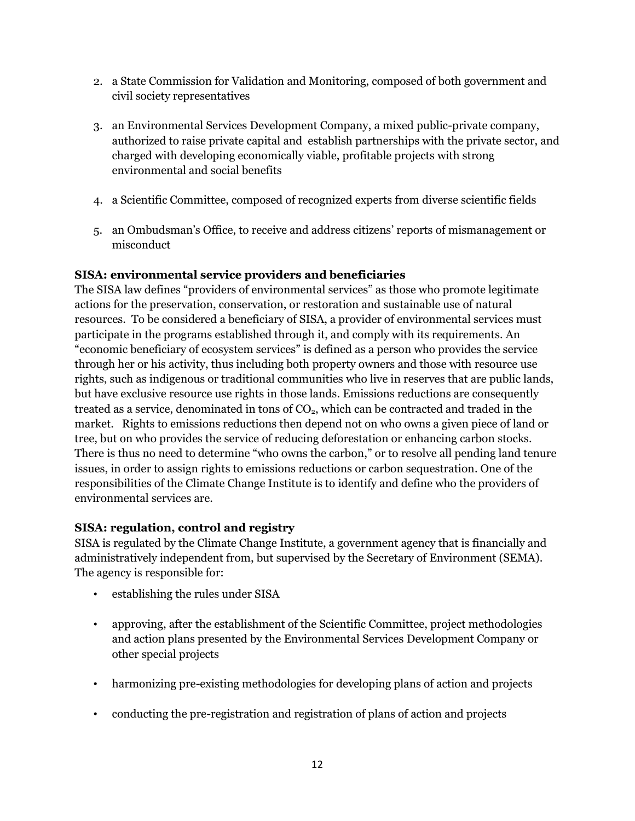- 2. a State Commission for Validation and Monitoring, composed of both government and civil society representatives
- 3. an Environmental Services Development Company, a mixed public-private company, authorized to raise private capital and establish partnerships with the private sector, and charged with developing economically viable, profitable projects with strong environmental and social benefits
- 4. a Scientific Committee, composed of recognized experts from diverse scientific fields
- 5. an Ombudsman's Office, to receive and address citizens' reports of mismanagement or misconduct

### **SISA: environmental service providers and beneficiaries**

The SISA law defines "providers of environmental services" as those who promote legitimate actions for the preservation, conservation, or restoration and sustainable use of natural resources. To be considered a beneficiary of SISA, a provider of environmental services must participate in the programs established through it, and comply with its requirements. An ―economic beneficiary of ecosystem services‖ is defined as a person who provides the service through her or his activity, thus including both property owners and those with resource use rights, such as indigenous or traditional communities who live in reserves that are public lands, but have exclusive resource use rights in those lands. Emissions reductions are consequently treated as a service, denominated in tons of  $CO<sub>2</sub>$ , which can be contracted and traded in the market. Rights to emissions reductions then depend not on who owns a given piece of land or tree, but on who provides the service of reducing deforestation or enhancing carbon stocks. There is thus no need to determine "who owns the carbon," or to resolve all pending land tenure issues, in order to assign rights to emissions reductions or carbon sequestration. One of the responsibilities of the Climate Change Institute is to identify and define who the providers of environmental services are.

# **SISA: regulation, control and registry**

SISA is regulated by the Climate Change Institute, a government agency that is financially and administratively independent from, but supervised by the Secretary of Environment (SEMA). The agency is responsible for:

- establishing the rules under SISA
- approving, after the establishment of the Scientific Committee, project methodologies and action plans presented by the Environmental Services Development Company or other special projects
- harmonizing pre-existing methodologies for developing plans of action and projects
- conducting the pre-registration and registration of plans of action and projects